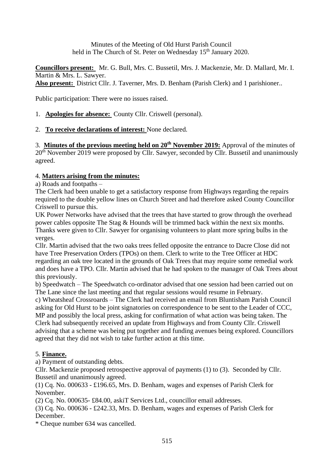Minutes of the Meeting of Old Hurst Parish Council held in The Church of St. Peter on Wednesday 15<sup>th</sup> January 2020.

**Councillors present:** Mr. G. Bull, Mrs. C. Bussetil, Mrs. J. Mackenzie, Mr. D. Mallard, Mr. I. Martin & Mrs. L. Sawyer. **Also present:** District Cllr. J. Taverner, Mrs. D. Benham (Parish Clerk) and 1 parishioner..

Public participation: There were no issues raised.

- 1. **Apologies for absence:** County Cllr. Criswell (personal).
- 2. **To receive declarations of interest:** None declared.

3. **Minutes of the previous meeting held on 20th November 2019:** Approval of the minutes of 20<sup>th</sup> November 2019 were proposed by Cllr. Sawyer, seconded by Cllr. Bussetil and unanimously agreed.

# 4. **Matters arising from the minutes:**

a) Roads and footpaths –

The Clerk had been unable to get a satisfactory response from Highways regarding the repairs required to the double yellow lines on Church Street and had therefore asked County Councillor Criswell to pursue this.

UK Power Networks have advised that the trees that have started to grow through the overhead power cables opposite The Stag & Hounds will be trimmed back within the next six months. Thanks were given to Cllr. Sawyer for organising volunteers to plant more spring bulbs in the verges.

Cllr. Martin advised that the two oaks trees felled opposite the entrance to Dacre Close did not have Tree Preservation Orders (TPOs) on them. Clerk to write to the Tree Officer at HDC regarding an oak tree located in the grounds of Oak Trees that may require some remedial work and does have a TPO. Cllr. Martin advised that he had spoken to the manager of Oak Trees about this previously.

b) Speedwatch – The Speedwatch co-ordinator advised that one session had been carried out on The Lane since the last meeting and that regular sessions would resume in February.

c) Wheatsheaf Crossroards – The Clerk had received an email from Bluntisham Parish Council asking for Old Hurst to be joint signatories on correspondence to be sent to the Leader of CCC, MP and possibly the local press, asking for confirmation of what action was being taken. The Clerk had subsequently received an update from Highways and from County Cllr. Criswell advising that a scheme was being put together and funding avenues being explored. Councillors agreed that they did not wish to take further action at this time.

# 5. **Finance.**

a) Payment of outstanding debts.

Cllr. Mackenzie proposed retrospective approval of payments (1) to (3). Seconded by Cllr. Bussetil and unanimously agreed.

(1) Cq. No. 000633 - £196.65, Mrs. D. Benham, wages and expenses of Parish Clerk for November.

(2) Cq. No. 000635- £84.00, askiT Services Ltd., councillor email addresses.

(3) Cq. No. 000636 - £242.33, Mrs. D. Benham, wages and expenses of Parish Clerk for December.

\* Cheque number 634 was cancelled.